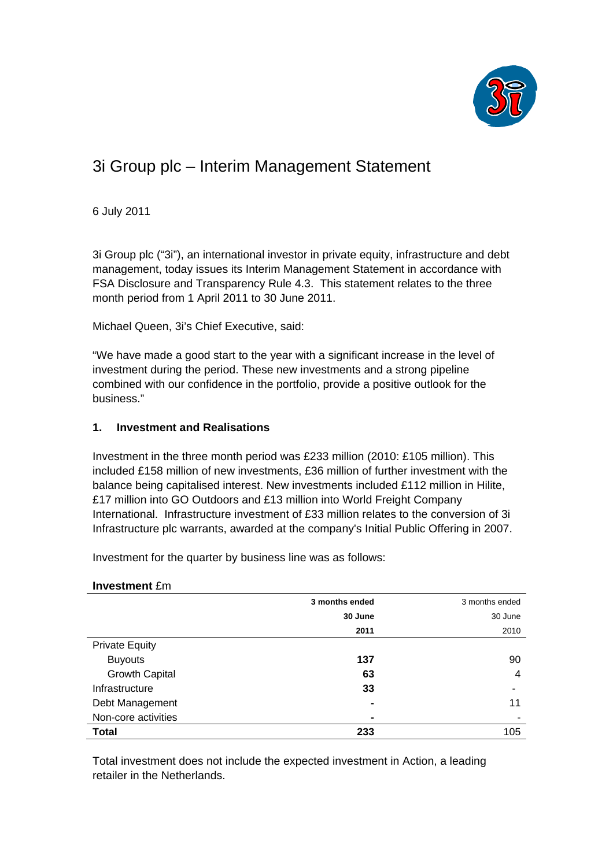

# 3i Group plc – Interim Management Statement

6 July 2011

3i Group plc ("3i"), an international investor in private equity, infrastructure and debt management, today issues its Interim Management Statement in accordance with FSA Disclosure and Transparency Rule 4.3. This statement relates to the three month period from 1 April 2011 to 30 June 2011.

Michael Queen, 3i's Chief Executive, said:

"We have made a good start to the year with a significant increase in the level of investment during the period. These new investments and a strong pipeline combined with our confidence in the portfolio, provide a positive outlook for the business."

## **1. Investment and Realisations**

Investment in the three month period was £233 million (2010: £105 million). This included £158 million of new investments, £36 million of further investment with the balance being capitalised interest. New investments included £112 million in Hilite, £17 million into GO Outdoors and £13 million into World Freight Company International. Infrastructure investment of £33 million relates to the conversion of 3i Infrastructure plc warrants, awarded at the company's Initial Public Offering in 2007.

Investment for the quarter by business line was as follows:

#### **Investment** £m

|                       | 3 months ended | 3 months ended |
|-----------------------|----------------|----------------|
|                       | 30 June        | 30 June        |
|                       | 2011           | 2010           |
| <b>Private Equity</b> |                |                |
| <b>Buyouts</b>        | 137            | 90             |
| <b>Growth Capital</b> | 63             | $\overline{4}$ |
| Infrastructure        | 33             |                |
| Debt Management       | $\blacksquare$ | 11             |
| Non-core activities   | $\blacksquare$ | -              |
| <b>Total</b>          | 233            | 105            |

Total investment does not include the expected investment in Action, a leading retailer in the Netherlands.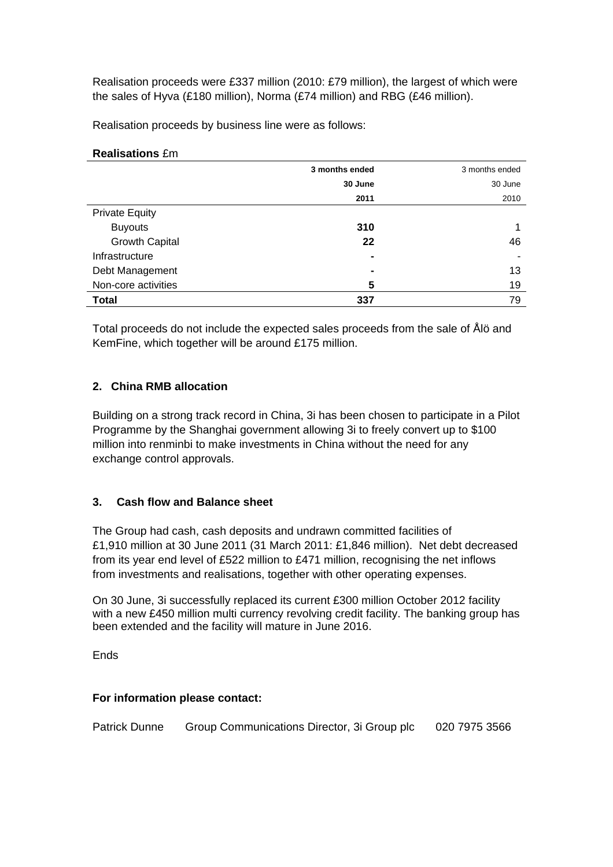Realisation proceeds were £337 million (2010: £79 million), the largest of which were the sales of Hyva (£180 million), Norma (£74 million) and RBG (£46 million).

Realisation proceeds by business line were as follows:

|                       | 3 months ended | 3 months ended |
|-----------------------|----------------|----------------|
|                       | 30 June        | 30 June        |
|                       | 2011           | 2010           |
| <b>Private Equity</b> |                |                |
| <b>Buyouts</b>        | 310            |                |
| <b>Growth Capital</b> | 22             | 46             |
| Infrastructure        | $\blacksquare$ | -              |
| Debt Management       | $\blacksquare$ | 13             |
| Non-core activities   | 5              | 19             |
| <b>Total</b>          | 337            | 79             |

**Realisations** £m

Total proceeds do not include the expected sales proceeds from the sale of Ålö and KemFine, which together will be around £175 million.

## **2. China RMB allocation**

Building on a strong track record in China, 3i has been chosen to participate in a Pilot Programme by the Shanghai government allowing 3i to freely convert up to \$100 million into renminbi to make investments in China without the need for any exchange control approvals.

# **3. Cash flow and Balance sheet**

The Group had cash, cash deposits and undrawn committed facilities of £1,910 million at 30 June 2011 (31 March 2011: £1,846 million). Net debt decreased from its year end level of £522 million to £471 million, recognising the net inflows from investments and realisations, together with other operating expenses.

On 30 June, 3i successfully replaced its current £300 million October 2012 facility with a new £450 million multi currency revolving credit facility. The banking group has been extended and the facility will mature in June 2016.

**Ends** 

#### **For information please contact:**

Patrick Dunne Group Communications Director, 3i Group plc 020 7975 3566